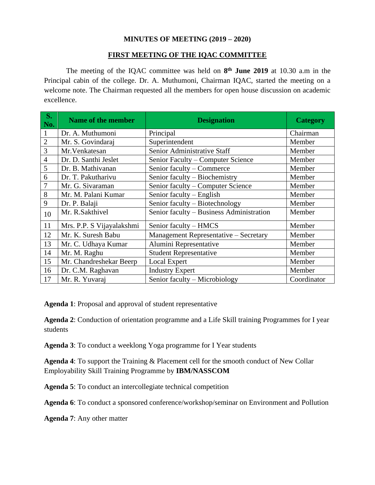### **MINUTES OF MEETING (2019 – 2020)**

#### **FIRST MEETING OF THE IQAC COMMITTEE**

The meeting of the IQAC committee was held on **8 th June 2019** at 10.30 a.m in the Principal cabin of the college. Dr. A. Muthumoni, Chairman IQAC, started the meeting on a welcome note. The Chairman requested all the members for open house discussion on academic excellence.

| $\overline{\mathbf{S}}$ .<br>No. | <b>Name of the member</b> | <b>Designation</b>                       | <b>Category</b> |
|----------------------------------|---------------------------|------------------------------------------|-----------------|
| $\mathbf{1}$                     | Dr. A. Muthumoni          | Principal                                | Chairman        |
| $\overline{2}$                   | Mr. S. Govindaraj         | Superintendent                           | Member          |
| 3                                | Mr. Venkatesan            | Senior Administrative Staff              | Member          |
| $\overline{4}$                   | Dr. D. Santhi Jeslet      | Senior Faculty - Computer Science        | Member          |
| 5                                | Dr. B. Mathivanan         | Senior faculty – Commerce                | Member          |
| 6                                | Dr. T. Pakutharivu        | Senior faculty – Biochemistry            | Member          |
| 7                                | Mr. G. Sivaraman          | Senior faculty – Computer Science        | Member          |
| 8                                | Mr. M. Palani Kumar       | Senior faculty – English                 | Member          |
| 9                                | Dr. P. Balaji             | Senior faculty - Biotechnology           | Member          |
| 10                               | Mr. R.Sakthivel           | Senior faculty - Business Administration | Member          |
| 11                               | Mrs. P.P. S Vijayalakshmi | Senior faculty – HMCS                    | Member          |
| 12                               | Mr. K. Suresh Babu        | Management Representative - Secretary    | Member          |
| 13                               | Mr. C. Udhaya Kumar       | Alumini Representative                   | Member          |
| 14                               | Mr. M. Raghu              | <b>Student Representative</b>            | Member          |
| 15                               | Mr. Chandreshekar Beerp   | Local Expert                             | Member          |
| 16                               | Dr. C.M. Raghavan         | <b>Industry Expert</b>                   | Member          |
| 17                               | Mr. R. Yuvaraj            | Senior faculty - Microbiology            | Coordinator     |

**Agenda 1**: Proposal and approval of student representative

**Agenda 2**: Conduction of orientation programme and a Life Skill training Programmes for I year students

**Agenda 3**: To conduct a weeklong Yoga programme for I Year students

**Agenda 4**: To support the Training & Placement cell for the smooth conduct of New Collar Employability Skill Training Programme by **IBM/NASSCOM**

**Agenda 5**: To conduct an intercollegiate technical competition

**Agenda 6**: To conduct a sponsored conference/workshop/seminar on Environment and Pollution

**Agenda 7**: Any other matter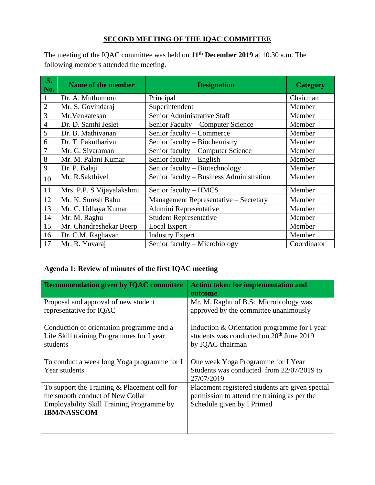## **SECOND MEETING OF THE IQAC COMMITTEE**

The meeting of the IQAC committee was held on **11th December 2019** at 10.30 a.m. The following members attended the meeting.

| <b>S.</b><br>No. | Name of the member        | <b>Designation</b>                       | <b>Category</b> |
|------------------|---------------------------|------------------------------------------|-----------------|
| $\mathbf{1}$     | Dr. A. Muthumoni          | Principal                                | Chairman        |
| $\overline{2}$   | Mr. S. Govindaraj         | Superintendent                           | Member          |
| 3                | Mr. Venkatesan            | Senior Administrative Staff              | Member          |
| $\overline{4}$   | Dr. D. Santhi Jeslet      | Senior Faculty – Computer Science        | Member          |
| 5                | Dr. B. Mathivanan         | Senior faculty - Commerce                | Member          |
| 6                | Dr. T. Pakutharivu        | Senior faculty – Biochemistry            | Member          |
| 7                | Mr. G. Sivaraman          | Senior faculty – Computer Science        | Member          |
| 8                | Mr. M. Palani Kumar       | Senior faculty – English                 | Member          |
| 9                | Dr. P. Balaji             | Senior faculty – Biotechnology           | Member          |
| 10               | Mr. R.Sakthivel           | Senior faculty - Business Administration | Member          |
| 11               | Mrs. P.P. S Vijayalakshmi | Senior faculty – HMCS                    | Member          |
| 12               | Mr. K. Suresh Babu        | Management Representative - Secretary    | Member          |
| 13               | Mr. C. Udhaya Kumar       | Alumini Representative                   | Member          |
| 14               | Mr. M. Raghu              | <b>Student Representative</b>            | Member          |
| 15               | Mr. Chandreshekar Beerp   | <b>Local Expert</b>                      | Member          |
| 16               | Dr. C.M. Raghavan         | <b>Industry Expert</b>                   | Member          |
| 17               | Mr. R. Yuvaraj            | Senior faculty - Microbiology            | Coordinator     |

# **Agenda 1: Review of minutes of the first IQAC meeting**

| <b>Recommendation given by IQAC committee</b>                   | <b>Action taken for implementation and</b>                                      |
|-----------------------------------------------------------------|---------------------------------------------------------------------------------|
|                                                                 | outcome                                                                         |
| Proposal and approval of new student<br>representative for IQAC | Mr. M. Raghu of B.Sc Microbiology was<br>approved by the committee unanimously  |
|                                                                 |                                                                                 |
| Conduction of orientation programme and a                       | Induction & Orientation programme for I year                                    |
| Life Skill training Programmes for I year                       | students was conducted on 20 <sup>th</sup> June 2019                            |
| students                                                        | by IQAC chairman                                                                |
|                                                                 |                                                                                 |
| To conduct a week long Yoga programme for I<br>Year students    | One week Yoga Programme for I Year<br>Students was conducted from 22/07/2019 to |
|                                                                 | 27/07/2019                                                                      |
| To support the Training $&$ Placement cell for                  | Placement registered students are given special                                 |
| the smooth conduct of New Collar                                | permission to attend the training as per the                                    |
| Employability Skill Training Programme by                       | Schedule given by I Primed                                                      |
| <b>IBM/NASSCOM</b>                                              |                                                                                 |
|                                                                 |                                                                                 |
|                                                                 |                                                                                 |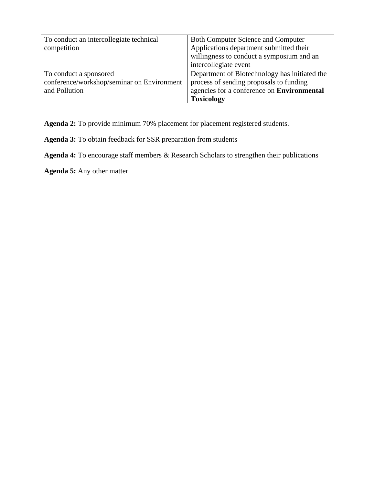| To conduct an intercollegiate technical    | <b>Both Computer Science and Computer</b>     |
|--------------------------------------------|-----------------------------------------------|
| competition                                | Applications department submitted their       |
|                                            | willingness to conduct a symposium and an     |
|                                            | intercollegiate event                         |
| To conduct a sponsored                     | Department of Biotechnology has initiated the |
| conference/workshop/seminar on Environment | process of sending proposals to funding       |
| and Pollution                              | agencies for a conference on Environmental    |
|                                            | <b>Toxicology</b>                             |

**Agenda 2:** To provide minimum 70% placement for placement registered students.

**Agenda 3:** To obtain feedback for SSR preparation from students

**Agenda 4:** To encourage staff members & Research Scholars to strengthen their publications

**Agenda 5:** Any other matter